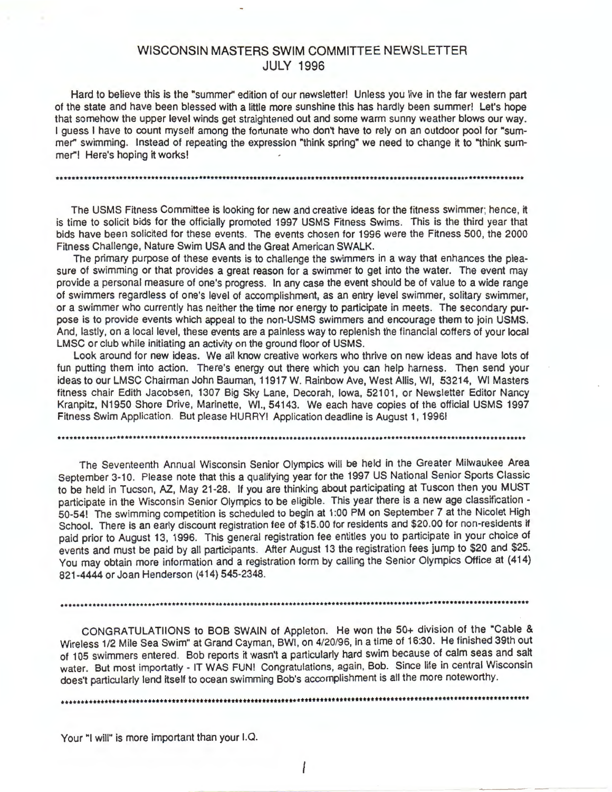# WISCONSIN MASTERS SWIM COMMITTEE NEWSLETTER JULY 1996

Hard to believe this is the "summer" edition of our newsletter! Unless you live in the far western part of the state and have been blessed with a little more sunshine this has hardly been summer! Let's hope that somehow the upper level winds get straightened out and some warm sunny weather blows our way. I guess I have to count myself among the fortunate who don't have to rely on an outdoor pool for "summer'' swimming. Instead of repeating the expression "think spring" we need to change it to "think summer"! Here's hoping it works!

The USMS Fitness Committee is looking for new and creative ideas for the fitness swimmer; hence, it is time to solicit bids for the officially promoted 1997 USMS Fitness Swims. This is the third year that bids have been solicited for these events. The events chosen for 1996 were the Fitness 500, the 2000 Fitness Challenge, Nature Swim USA and the Great American SWALK.

The primary purpose of these events is to challenge the swimmers in a way that enhances the pleasure of swimming or that provides a great reason for a swimmer to get into the water. The event may provide a personal measure of one's progress. In any case the event should be of value to a wide range of swimmers regardless of one's level of accomplishment, as an entry level swimmer, solitary swimmer, or a swimmer who currently has neither the time nor energy to participate in meets. The secondary purpose is to provide events which appeal to the non-USMS swimmers and encourage them to join USMS. And, lastly, on a local level, these events are a painless way to replenish the financial coffers of your local LMSC or club while initiating an activity on the ground floor of USMS.

Look around for new ideas. We all know creative workers who thrive on new ideas and have lots of fun putting them into action. There's energy out there which you can help harness. Then send your ideas to our LMSC Chairman John Bauman, 11917 W. Rainbow Ave, West Allis, WI, 53214, WI Masters fitness chair Edith Jacobsen, 1307 Big Sky Lane, Decorah, Iowa, 52101, or Newsletter Editor Nancy Kranpitz, N1950 Shore Drive, Marinette, WI., 54143. We each have copies of the official USMS 1997 Fitness Swim Application. But please HURRY! Application deadline is August 1, 1996!

The Seventeenth Annual Wisconsin Senior Olympics will be held in the Greater Milwaukee Area September 3-10. Please note that this a qualifying year for the 1997 US National Senior Sports Classic to be held in Tucson, AZ, May 21-28. If you are thinking about participating at Tuscon then you MUST participate in the Wisconsin Senior Olympics to be eligible. This year there is a new age classification - 50-54! The swimming competition is scheduled to begin at 1 :00 PM on September 7 at the Nicolet High School. There is an early discount registration fee of \$15.00 for residents and \$20.00 for non-residents if paid prior to August 13, 1996. This general registration fee entitles you to participate in your choice of events and must be paid by all participants. After August 13 the registration fees jump to \$20 and \$25. You may obtain more information and a registration form by calling the Senior Olympics Office at (414) 821-4444 or Joan Henderson (414) 545-2348 .

..........................................................................................•........•.....••.........•••

CONGRATULATIIONS to BOB SWAIN of Appleton. He won the 50+ division of the "Cable & Wireless 1/2 Mile Sea Swim" at Grand Cayman, BWI, on 4/20/96, in a time of 16:30. He finished 39th out of 105 swimmers entered. Bob reports it wasn't a particularly hard swim because of calm seas and salt water. But most importatly - IT WAS FUN! Congratulations, again, Bob. Since life in central Wisconsin does't particularly lend itself to ocean swimming Bob's accomplishment is all the more noteworthy .

•••••••••••••••••••••••••••••••••••••••••••••••••••••••••••••••••••••••••••••••••••••••••••••••••••••••••••••••••••••••

Your "I will" is more important than your I.Q.

I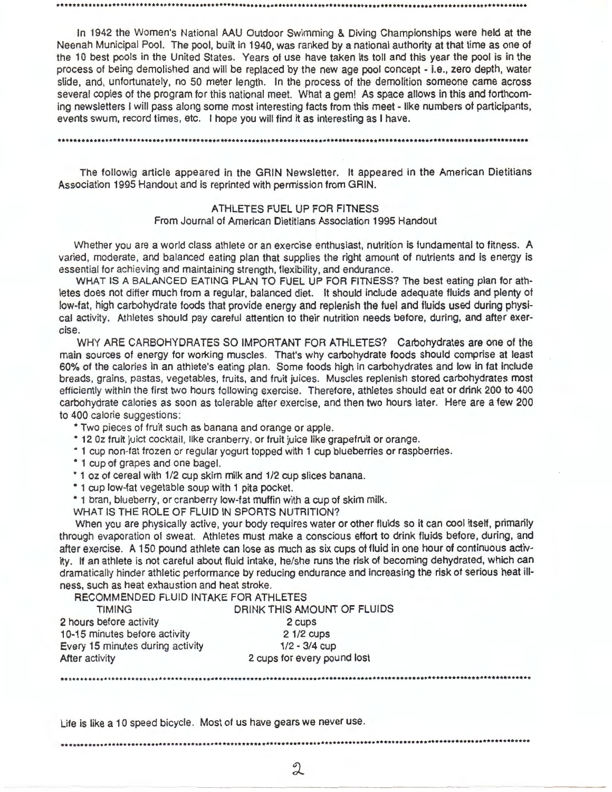In 1942 the Women's National AAU Outdoor Swimming & Diving Championships were held at the Neenah Municipal Pool. The pool, built in 1940, was ranked by a national authority at that time as one of the 10 best pools in the United States. Years of use have taken its toll and this year the pool is in the process of being demolished and will be replaced by the new age pool concept - i.e., zero depth, water slide, and, unfortunately, no 50 meter length. In the process of the demolition someone came across several copies of the program for this national meet. What a gem! As space allows in this and forthcoming newsletters I will pass along some most interesting facts from this meet - like numbers of participants, events swum, record times, etc. I hope you will find it as interesting as I have.

•••••••••••••••••••••••••••••••••••••••••••••••••••••••••••••••••••••••••••••••••••••••••••••••••••••••••••••••••••••••

The followig article appeared in the GRIN Newsletter. It appeared in the American Dietitians Association 1995 Handout and is reprinted with permission from GRIN.

> ATHLETES FUEL UP FOR FITNESS From Journal of American Dietitians Association 1995 Handout

Whether you are a world class athlete or an exercise enthusiast, nutrition is fundamental to fitness. A varied, moderate, and balanced eating plan that supplies the right amount of nutrients and is energy is essential for achieving and maintaining strength, flexibility, and endurance.

WHAT IS A BALANCED EATING PLAN TO FUEL UP FOR FITNESS? The best eating plan for athletes does not differ much from a regular, balanced diet. It should include adequate fluids and plenty of low-fat, high carbohydrate foods that provide energy and replenish the fuel and fluids used during physical activity. Athletes should pay careful attention to their nutrition needs before, during, and after exercise.

WHY ARE CARBOHYDRATES SO IMPORTANT FOR ATHLETES? Carbohydrates are one of the main sources of energy for working muscles. That's why carbohydrate foods should comprise at least 60% of the calories in an athlete's eating plan. Some foods high in carbohydrates and low in fat include breads, grains, pastas, vegetables, fruits, and fruit juices. Muscles replenish stored carbohydrates most efficiently within the first two hours following exercise. Therefore, athletes should eat or drink 200 to 400 carbohydrate calories as soon as tolerable after exercise, and then two hours later. Here are a few 200 to 400 calorie suggestions:

• Two pieces of fruit such as banana and orange or apple.

• 12 Oz fruit juict cocktail, like cranberry, or fruit juice like grapefruit or orange.

• 1 cup non-fat frozen or regular yogurt topped with 1 cup blueberries or raspberries.

• 1 cup of grapes and one bagel.

• 1 oz of cereal with 1/2 cup skim milk and 1/2 cup slices banana.

• 1 cup low-fat vegetable soup with 1 pita pocket.

• 1 bran, blueberry, or cranberry low-fat muffin with a cup of skim milk.

WHAT IS THE ROLE OF FLUID IN SPORTS NUTRITION?

When you are physically active, your body requires water or other fluids so it can cool itself, primarily through evaporation of sweat. Athletes must make a conscious effort to drink fluids before, during, and after exercise. A 150 pound athlete can lose as much as six cups of fluid in one hour of continuous activity. If an athlete is not careful about fluid intake, he/she runs the risk of becoming dehydrated, which can dramatically hinder athletic performance by reducing endurance and increasing the risk of serious heat illness, such as heat exhaustion and heat stroke.

RECOMMENDED FLUID INTAKE FOR ATHLETES

| <b>TIMING</b>                    | DRINK THIS AMOUNT OF FLUIDS |
|----------------------------------|-----------------------------|
| 2 hours before activity          | 2 cups                      |
| 10-15 minutes before activity    | $21/2$ cups                 |
| Every 15 minutes during activity | $1/2 - 3/4$ cup             |
| After activity                   | 2 cups for every pound lost |

Life is like a 10 speed bicycle. Most of us have gears we never use .

........................................................................................•......................•.......

...........................................................................•..•••••.......•••..••••...•••••.•••••••••••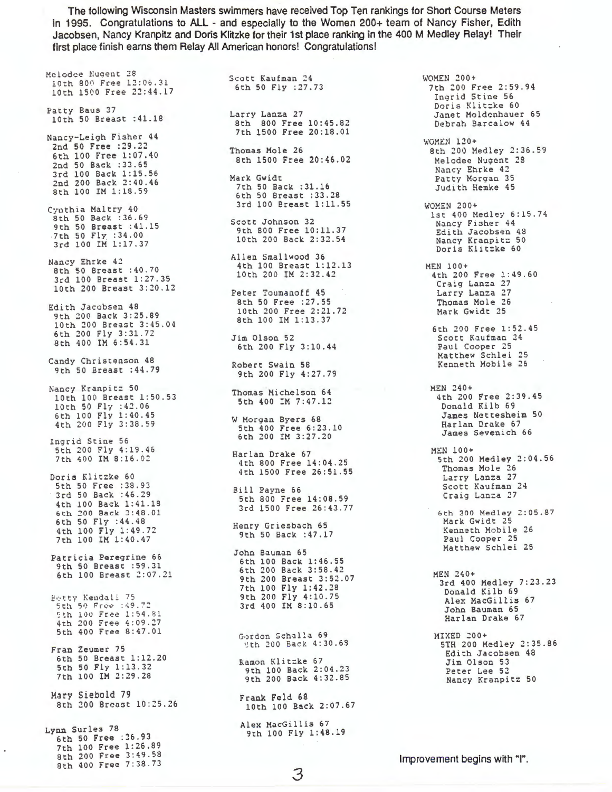The following Wisconsin Masters swimmers have received Top Ten rankings for Short Course Meters in 1995. Congratulations to ALL - and especially to the Women 200+ team of Nancy Fisher, Edith Jacobsen, Nancy Kranpitz and Doris Klitzke for their 1st place ranking in the 400 M Medley Relay! Their first place finish earns them Relay All American honors! Congratulations!

Mclodee Nugent 28 10th 800 Free 12:06.31 10th 1500 Free 22:44.17 Patty Baus 37 10th 50 Breast :41.18 Nancy-Leigh Fisher 44 2nd 50 Free :29.22 6th 100 Free 1:07.40 2nd SO Back :33.65 3rd 100 Back 1:15.56 2nd 200 Back 2:40.46 8th 100 IM 1:18 . 59 Cyuthia Maltry 40 8th 50 Back : 36.69 9th 50 Breast :41.15 7th 50 Fly :34.00 3rd 100 IM 1:17.37 Nancy Ehrke 42 8th 50 Breast :40.70 3rd 100 Breast 1:27.35<br>10th 200 Breast 1:27.35 10th 200 Breast 3:20.12 Edith Jacobsen 48 9th 200 Back 3:25.89 10th 200 Breast 3:45.04<br>6th 200 Breast 3:45.04 6th 200 Fly 3:31.72 8th 400 IM 6:54.31 Candy Christenson 48 9th 50 Breast :44.79 Nancy Kranpitz 50 10th 100 Breast 1:50 . 53 10th 50 Fly : 42.06 6th 100 Fly 1:40.45 4th 200 Fly 3:38.59 Ingrid Stine 56 5th 200 Fly 4:19 . 46 7th 400 IM 8:16.02 Doris Klitzke 60 5th 50 Free :38.93 3rd 50 Back :46 .29 4th 100 Back 1:41 . 18 6th 200 Back 3:48.01 6th 50 Fly :44.48 4th 100 Fly 1:49 . 72 7th 100 IM 1:40.47 Patricia Peregrine 66 9th 50 Breast :59.31 6th 100 Breast 2:07.21 Betty Kendall 75<br>5th 50 Free :49.72 5th 100 Free 1:54.81 4th 200 Free 4 : 09 . 27 5th 400 Free 8:47.01 Fran Zeumer 75 6th 50 Breast 1:12.20 5th 50 Fly 1:13 . 32 7th 100 IM 2:29.28 Mary Siebold 79 8th 200 Breast 10:25.26 Lynn Surles 78 6th 50 Free :36. 93 7th 100 Free 1:26.89 8th 200 Free 3:49.53

8th 400 Free 7:38.73

Scott Kaufman 24 6th 50 Fly :27.73 Larry Lanza 27 8th 800 Free 10:45.82 7th 1500 Free 20:18.01 Thomas Mole 26 8th 1500 Free 20:46.02 Mark Gwidt 7th 50 Back :31.16 6th 50 Breast :33.28 3rd 100 Breast 1:11.55 Scott Johnson 32 9th 800 Free 10:11.37 10th 200 Back 2:32.54 Allen Smallwood 36 4th 100 Breast 1:12.13 4th 100 Breast 1:12.13 MEN 100+<br>10th 200 IM 2:32.42 4th 200 Peter Toumanoff 45 8th 50 Free :27.55 10th 200 Free 2:21.72 8th 100 IM 1:13.37 Jim Olson 52 6th 200 Fly 3:10.44 Robert Swain 58 9th 200 Fly 4:27 . 79 Thomas Michelson 64 5th 400 IM 7:47.12 W Morgan Byers 68 5th 400 Free 6:23.10 6th 200 IM 3:27.20 Harlan Drake 67 4th 800 Free 14:04 . 25 4th 1500 Free 26:51 . 55 Bill Payne 66<br>5th 800 Free 5th 800 Free 14:08 . 59 3rd 1500 Free 26:43.77 Henry Griesbach 65 9th 50 Back :47.17 John Bauman 65 6th 100 Back 1:46 . 55 6th 200 Back 3:58.42 9th 200 Breast 3:52.07 7th 100 Fly 1:42.28 9th 200 Fly 4:10.75 3rd 400 IM 8:10.65 Gordon Sch~lla 69 8 th 200 Back 4:30.6S Ramon Klitzke 67 9th 100 Back 2:04.23 9th 200 Back 4:32.85 Frank Feld 68 10th 100 Back 2:07.67 Alex MacGillis 67 9th 100 Fly 1:48.19

WOMEN 200+ 7th 200 Free 2:59.94 Ingrid Stine 56 Doris Klitzke 60 Janet Moldenhauer 65 Debrah Barcalow 44 WOMEN 120+ 8th 200 Medley 2:36.59 Melodee Nugent 28 Nancy Ehrke 42<br>Patty Morgan 35 Judith Hemke 45 WOMEN 200+ 1st 400 Medley 6:15.74 Nancy Fisher 44 Edith Jacobsen 48 Nancy Kranpitz 50 Doris Klitzke 60 4th 200 Free 1:49.60 Craig Lanza 27 Larry Lanza 27 Thomas Mole 26 Mark Gwidt 25 6th 200 Free 1:52.45 Scott Kaufman 24 Paul Cooper 25 Matthew Schlei 25 Kenneth Mobile 26 HEN 240+ 4th 200 Free 2:39.45 Donald Kilb 69 James Nettesheim 50 Harlan Drake 67 James Sevenich 66 MEN 100+ 5th 200 Medley 2:04.56 Thomas Mole 26 Larry Lanza 27 Scott Kaufman 24 Craig Lanza 27 6th 200 Medley 2:05 . 87 Mark Gwidt 25 Kenneth Mobile 26 Paul Cooper 25 Matthew Schlei 25 MEN 240+ 3rd 400 Medley 7:23.23 Donald Kilb 69 Alex MacGillis 67 John Bauman 65 Harlan Drake 67 MIXED *200+*  5TH 200 Medley 2:35.86 Edith Jacobsen 48 Jim Olson 53 Peter Lee 52 Nancy Kranpitz 50

Improvement begins with "I".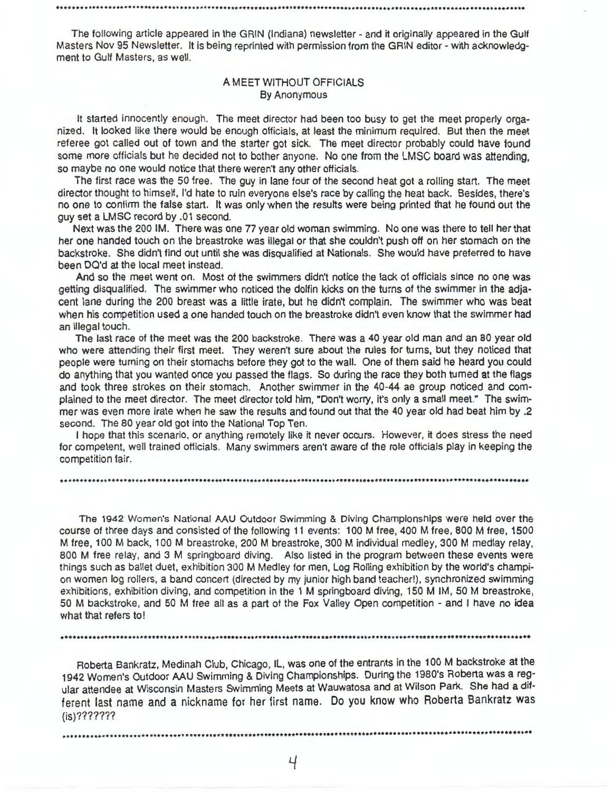The following article appeared in the GRIN (Indiana) newsletter - and it originally appeared in the Gulf Masters Nov 95 Newsletter. It is being reprinted with permission from the GRIN editor - with acknowledgment to Gulf Masters, as well.

••...................................................•.....•....•............•.........................................

## A MEET WITHOUT **OFFICIALS**  By Anonymous

It started innocently enough. The meet director had been too busy to get the meet properly organized. It looked like there would be enough officials, at least the minimum required. But then the meet referee got called out of town and the starter got sick. The meet director probably could have found some more officials but he decided not to bother anyone. No one from the LMSC board was attending, so maybe no one would notice that there weren't any other officials.

The first race was the 50 free. The guy in lane four of the second heat got a rolling start. The meet director thought to himself, I'd hate to ruin everyone else's race by calling the heat back. Besides, there's no one to confirm the false start. It was only when the results were being printed that he found out the guy set a LMSC record by .01 second.

Next was the 200 IM . There was one 77 year old woman swimming. No one was there to tell her that her one handed touch on the breastroke was illegal or that she couldn't push off on her stomach on the backstroke. She didn't find out until she was disqualified at Nationals. She would have preferred to have been DO'd at the local meet instead.

And so the meet went on. Most of the swimmers didn't notice the lack of officials since no one was getting disqualified. The swimmer who noticed the dolfin kicks on the turns of the swimmer in the adjacent lane during the 200 breast was a little irate, but he didn't complain. The swimmer who was beat when his competition used a one handed touch on the breastroke didn't even know that the swimmer had an illegal touch.

The last race of the meet was the 200 backstroke. There was a 40 year old man and an 80 year old who were attending their first meet. They weren't sure about the rules for turns, but they noticed that people were turning on their stomachs before they got to the wall. One of them said he heard you could do anything that you wanted once you passed the flags. So during the race they both turned at the flags and took three strokes on their stomach. Another swimmer in the 40-44 ae group noticed and complained to the meet director. The meet director told him, "Don't worry, it's only a small meet." The swimmer was even more irate when he saw the results and found out that the 40 year old had beat him by .2 second. The 80 year old got into the National Top Ten.

I hope that this scenario, or anything remotely like it never occurs. However, it does stress the need for competent, well trained officials. Many swimmers aren't aware of the role officials play in keeping the competition fair.

The 1942 Women's National AAU Outdoor Swimming & Diving Championships were held over the course of three days and consisted of the following 11 events: 100 M free, 400 M free, 800 M free, 1500 M free , 100 M back, 100 M breastroke, 200 M breastroke, 300 M individual medley, 300 M medlay relay, 800 M free relay, and 3 M springboard diving. Also listed in the program between these events were things such as ballet duet, exhibition 300 M Medley for men, Log Rolling exhibition by the world's champion women log rollers, a band concert (directed by my junior high band teacher!), synchronized swimming exhibitions , exhibition diving, and competition in the 1 M springboard diving, 150 M IM, 50 M breastroke, 50 M backstroke, and 50 M free all as a part of the Fox Valley Open competition - and I have no idea what that refers to!

Roberta Bankratz, Medinah Club, Chicago, IL, was one of the entrants in the 100 M backstroke at the 1942 Women's Outdoor MU Swimming & Diving Championships. During the 1980's Roberta was a regular attendee at Wisconsin Masters Swimming Meets at Wauwatosa and at Wilson Park. She had a different last name and a nickname for her first name. Do you know who Roberta Bankratz was (is)???????

•••••••••••••••••••••••••••••••••••••••••••••••••••••••••••••••••••••••••••••••••••••••••••••••••••••••••••••••••••••••

 $\frac{1}{2}$ 

•••............................................•.......•.....•..••••..•••.••••.....•....••..•••••..•.•..•.•••••••••••••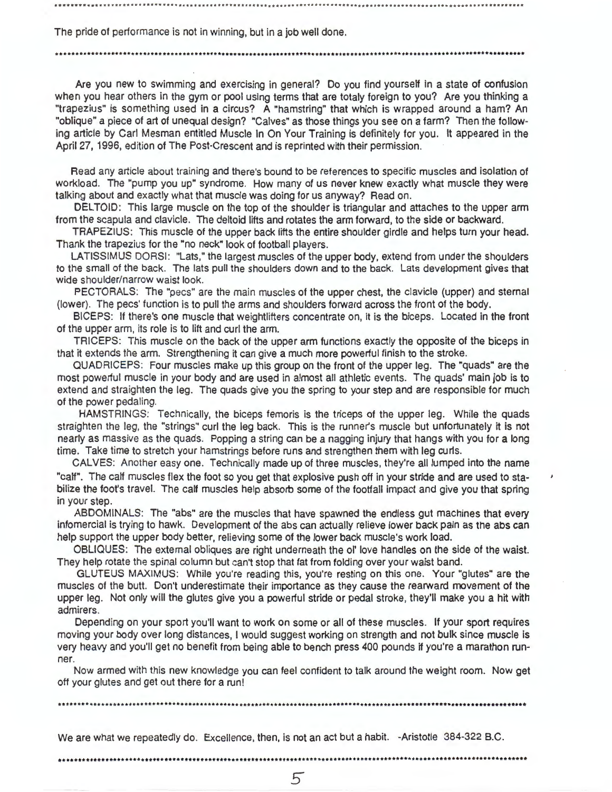The pride of performance is not in winning, but in a job well done .

•.....................................................................................•.....•••.•.............•.•......

Are you new to swimming and exercising in general? Do you find yourself in a state of confusion when you hear others in the gym or pool using terms that are totaly foreign to you? Are you thinking a "trapezius" is something used in a circus? A "hamstring" that which is wrapped around a ham? An "oblique" a piece of art of unequal design? "Calves" as those things you see on a farm? Then the following article by Carl Mesman entitled Muscle In On Your Training is definitely for you. It appeared in the April 27, 1996, edition of The Post-Crescent and is reprinted with their permission.

Read any article about training and there's bound to be references to specific muscles and isolation of workload. The "pump you up" syndrome. How many of us never knew exactly what muscle they were talking about and exactly what that muscle was doing for us anyway? Read on.

DELTOID: This large muscle on the top of the shoulder is triangular and attaches to the upper arm from the scapula and clavicle. The deltoid lifts and rotates the arm forward, to the side or backward.

TRAPEZIUS: This muscle of the upper back lifts the entire shoulder girdle and helps turn your head. Thank the trapezius for the "no neck" look of football players.

LATISSIMUS DORSI: "Lats," the largest muscles of the upper body, extend from under the shoulders to the small of the back. The lats pull the shoulders down and to the back. Lats development gives that wide shoulder/narrow waist look.

PECTORALS: The "pees" are the main muscles of the upper chest, the clavicle (upper) and sternal (lower). The pees' function is to pull the arms and shoulders forward across the front of the body.

BICEPS: If there's one muscle that weightlifters concentrate on, it is the biceps. Located in the front of the upper arm, its role is to lift and curl the arm.

TRICEPS: This muscle on the back of the upper arm functions exactly the opposite of the biceps in that it extends the arm. Strengthening it can give a much more powerful finish to the stroke.

QUADRICEPS: Four muscles make up this group on the front of the upper leg. The "quads" are the most powerful muscle in your body and are used in almost all athletic events. The quads' main job is to extend and straighten the leg. The quads give you the spring to your step and are responsible for much of the power pedaling.

HAMSTRINGS: Technically, the biceps temoris is the triceps of the upper leg. While the quads straighten the leg, the "strings" curl the leg back. This is the runner's muscle but unfortunately it is not nearly as massive as the quads. Popping a string can be a nagging injury that hangs with you tor a long time. Take time to stretch your hamstrings before runs and strengthen them with leg curls.

CALVES: Another easy one. Technically made up of three muscles, they're all lumped into the name "calf". The calf muscles flex the foot so you get that explosive push off in your stride and are used to stabilize the foot's travel. The calf muscles help absorb some of the footfall impact and give you that spring in your step.

ABDOMINALS: The "abs" are the muscles that have spawned the endless gut machines that every infomercial is trying to hawk. Development of the abs can actually relieve lower bacK pain as the abs can help support the upper body better, relieving some of the lower back muscle's work load.

OBLIQUES: The external obliques are right underneath the ol' love handles on the side of the waist. They help rotate the spinal column but can't stop that fat from folding over your waist band.

GLUTEUS MAXIMUS: While you're reading this, you're resting on this one. Your "glutes" are the muscles of the butt. Don't underestimate their importance as they cause the rearward movement of the upper leg. Not only will the glutes give you a powerful stride or pedal stroke, they'll make you a hit with admirers.

Depending on your sport you'll want to work on some or all of these muscles. If your sport requires moving your body over long distances, I would suggest working on strength and not bulk since muscle is very heavy and you'll get no benefit from being able to bench press 400 pounds if you're a marathon runner.

Now armed with this new knowledge you can feel confident to talk around the weight room. Now get oft your glutes and get out there tor a run!

...............................................................................................••.•.•..•.•••...••••••••

We are what we repeatedly do. Excellence, then, is not an act but a habit. - Aristotle 384-322 B.C.

•••••••••••••••••••••••••••••••••••••••••••••••••••••••••••••••••••••••••••••••••••••••••••••••••••••••••••••••••••••••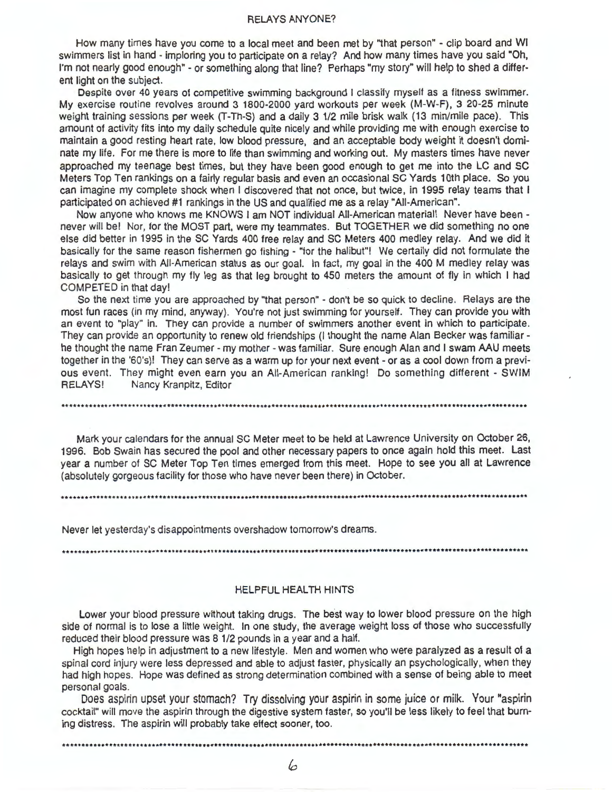#### **RELAYS ANYONE?**

How many times have you come to a local meet and been met by "that person" - clip board and WI swimmers list in hand - imploring you to participate on a relay? And how many times have you said "Oh, I'm not nearly good enough" - or something along that line? Perhaps "my story" will help to shed a different light on the subject.

Despite over 40 years of competitive swimming background I classify myself as a fitness swimmer. My exercise routine revolves around 3 1800-2000 yard workouts per week (M-W-F), 3 20-25 minute weight training sessions per week (T-Th-S) and a daily 3 1/2 mile brisk walk (13 min/mile pace). This amount of activity fits into my daily schedule quite nicely and while providing me with enough exercise to maintain a good resting heart rate, low blood pressure, and an acceptable body weight it doesn't dominate my life. For me there is more to life than swimming and working out. My masters times have never approached my teenage best times, but they have been good enough to get me into the LC and SC Meters Top Ten rankings on a fairly regular basis and even an occasional SC Yards 10th place. So you can imagine my complete shock when I discovered that not once, but twice, in 1995 relay teams that I participated on achieved #1 rankings in the US and qualified me as a relay "All-American".

Now anyone who knows me KNOWS I am NOT individual All-American material! Never have been never will be! Nor, for the MOST part, were my teammates. But TOGETHER we did something no one else did better in 1995 in the SC Yards 400 free relay and SC Meters 400 medley relay. And we did it basically for the same reason fishermen go fishing - "for the halibut"! We certaily did not formulate the relays and swim with All-American status as our goal. In fact, my goal in the 400 M medley relay was basically to get through my fly leg as that leg brought to 450 meters the amount of fly in which I had COMPETED in that day!

So the next time you are approached by "that person" - don't be so quick to decline. Relays are the most fun races (in my mind, anyway). You're not just swimming for yourself. They can provide you with an event to "play" in. They can provide a number of swimmers another event in which to participate. They can provide an opportunity to renew old friendships (I thought the name Alan Becker was familiar he thought the name Fran Zeumer - my mother - was familiar. Sure enough Alan and I swam AAU meets together in the '60's)! They can serve as a warm up for your next event - or as a cool down from a previous event. They might even earn you an All-American ranking! Do something different - SWIM RELAYS! Nancy Kranpitz, Editor

Mark your calendars for the annual SC Meter meet to be held at Lawrence University on October 26, 1996. Bob Swain has secured the pool and other necessary papers to once again hold this meet. Last year a number of SC Meter Top Ten times emerged from this meet. Hope to see you all at Lawrence (absolutely gorgeous facility for those who have never been there) in October.

Never let yesterday's disappointments overshadow tomorrow's dreams.

## HELPFUL HEALTH HINTS

Lower your blood pressure without taking drugs. The best way to lower blood pressure on the high side of normal is to lose a little weight. In one study, the average weight loss of those who successfully reduced their blood pressure was 8 1/2 pounds in a year and a half.

High hopes help in adjustment to a new lifestyle. Men and women who were paralyzed as a result of a spinal cord injury were less depressed and able to adjust faster, physically an psychologically, when they had high hopes. Hope was defined as strong determination combined with a sense of being able to meet personal goals.

Does aspirin upset your stomach? Try dissolving your aspirin in some juice or milk. Your "aspirin cocktail" will move the aspirin through the digestive system faster, so you'll be less likely to feel that burning distress. The aspirin will probably take effect sooner, too.

........................•.•.•................................................................................••.•.....•

6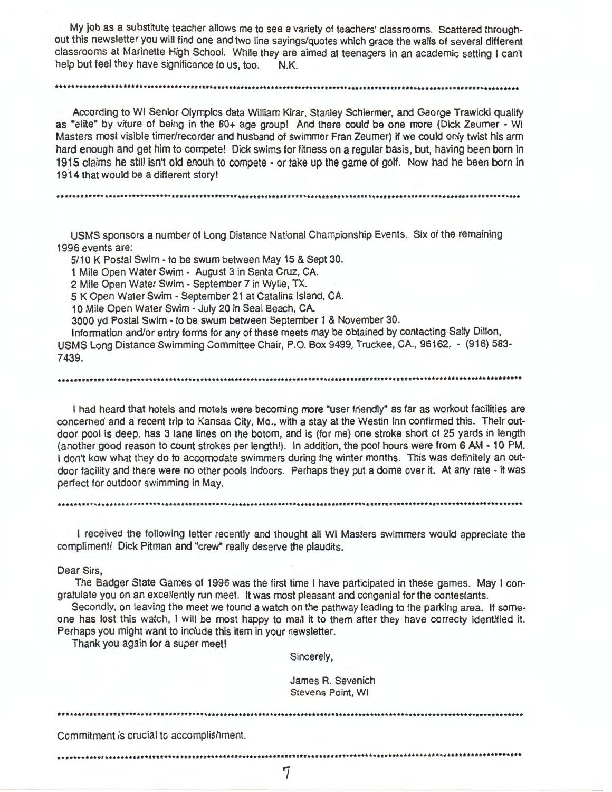My job as a substitute teacher allows me to see a variety of teachers' classrooms. Scattered throughout this newsletter you will find one and two line sayings/quotes which grace the walls of several different classrooms at Marinette High School. While they are aimed at teenagers in an academic setting I can't help but feel they have significance to us, too. N.K.

•••••••••••••••••••••••••••••••••••••••••••••••••••••••••••••••••••••••••••••••••••••••••••••••••••••••••••••••••••••••

According to WI Senior Olympics data William Kirar, Stanley Schiermer, and George Trawicki qualify as "elite" by viture of being in the 80+ age group! And there could be one more (Dick Zeumer - WI Masters most visible timer/recorder and husband of swimmer Fran Zeumer) if we could only twist his arm hard enough and get him to compete! Dick swims for fitness on a regular basis, but, having been born in 1915 claims he still isn't old enouh to compete - or take up the game of golf. Now had he been born in 1914 that would be a different story!

.........•...•...••.•••••..•.••••..•••.••.••.•••........•••••....••........•........•....•••••.•...•••................•

USMS sponsors a number of Long Distance National Championship Events. Six of the remaining 1996 events are:

5/10 K Postal Swim - to be swum between May 15 & Sept 30.

1 Mile Open Water Swim - August 3 in Santa Cruz, CA.

2 Mile Open Water Swim - September 7 in Wylie, TX.

5 K Open Water Swim - September 21 at Catalina Island, CA.

10 Mile Open Water Swim - July 20 in Seal Beach, CA.

3000 yd Postal Swim - to be swum between September 1 & November 30.

Information and/or entry forms for any of these meets may be obtained by contacting Sally Dillon, USMS Long Distance Swimming Committee Chair, P.O. Box 9499, Truckee, CA., 96162, - (916) 583- 7439.

•••••••••••••••••••••••••••••••••••••••••••••••••••••••••••••••••••••••••••••••••••••••••••••••••••••••••••••••••••••••

I had heard that hotels and motels were becoming more "user friendly" as far as workout facilities are concerned and a recent trip to Kansas City, Mo., with a stay at the Westin Inn confirmed this. Their outdoor pool is deep, has 3 lane lines on the botom, and is (for me) one stroke short of 25 yards in length (another good reason to count strokes per length!). In addition, the pool hours were from 6 AM - 10 PM. I don't kow what they do to accomodate swimmers during the winter months. This was definitely an outdoor facility and there were no other pools indoors. Perhaps they put a dome over it. At any rate - it was perfect for outdoor swimming in May.

........................•.......................................•..•••.......•..............••..............•....•.....

I received the following letter recently and thought all WI Masters swimmers would appreciate the compliment! Dick Pitman and "crew" really deserve the plaudits.

Dear Sirs,

The Badger State Games of 1996 was the first time I have participated in these games. May I congratulate you on an excellently run meet. It was most pleasant and congenial for the contestants.

Secondly, on leaving the meet we found a watch on the pathway leading to the parking area. If someone has lost this watch, I will be most happy to mail it to them after they have correcty identified it. Perhaps you might want to include this item in your newsletter.

Thank you again for a super meet!

Sincerely,

James R. Sevenich Stevens Point, WI

•••••••••••••••••••••.•••••....••.•....••....••.................••......•....•......•.•...........•..•••.......••.....•

Commitment is crucial to accomplishment.

••••••••••••••••••••••••••••••••••••••••••••••••••••••••••••••••••••••••••••••••••••••••••••••••••••••••••••••••••••••• '7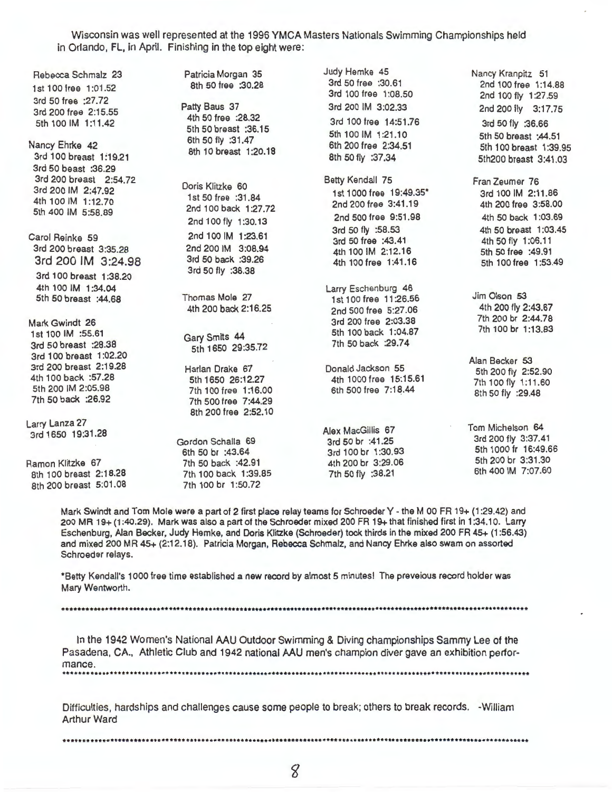Wisconsin was well represented at the 1996 **YMCA** Masters Nationals Swimming Championships held in Orlando, FL, in April. Finishing in the top eight were:

Rebecca Schmalz 23 1st 100 free 1 :01 .52 3rd 50 free :27.72 3rd 200 free 2:15.55 5th 100 IM 1:11.42

Nancy Ehrke 42 3rd 100 breast 1:19.21 3rd 50 beast :36.29 3rd 200 breast 2:54.72 3rd 200 IM 2:47.92 4th 100 IM 1:12.70 5th 400 IM 5:58.89

Carol Reinke 59 3rd 200 breast 3:35.28 3rd 200 IM 3:24.98 3rd 100 breast 1 :38.20 4th 100 IM 1:34.04 5th 50 breast :44.68

Mark Gwindt 26 1st 100 IM :55.61 3rd 50 breast :28.38 3rd 100 breast 1:02.20 3rd 200 breast 2:19.28 4th 100 back :57.28 5th 200 IM 2:05.98 7th 50 back :26.92

Larry Lanza 27 3rd 1650 19:31.28

Ramon Klitzke 67 8th 100 breast 2:18.28 8th 200 breast 5:01 .08 Patricia Morgan 35 8th 50 free :30.28

Patty Baus 37 4th 50 free :28.32 5th 50 breast :36.15 6th 50 fly :31 .47 8th 10 breast 1:20.18

Doris Klitzke 60 1st 50 free :31 .84 2nd 100 back 1 :27.72 2nd 100 fly 1 :30.13 2nd 100 IM 1:23.61 2nd 200 IM 3:08.94 3rd 50 back :39.26 3rd 50 fly :38.38

Thomas Mole 27 4th 200 back 2:16.25

Gary Smits 44 5th 1650 29:35.72

Harlan Drake 67 5th 1650 26:12.27 7th 100 free 1 :16.00 7th 500 free 7:44.29 8th 200 free 2:52.10 Gordon Schalla 69

6th 50 br :43.64 7th 50 back :42.91 7th 100 back 1:39.85 7th 100 br 1:50.72

Judy Hemke 45 3rd 50 free :30.61 3rd 100 free 1 :08.50 3rd 200 IM 3:02.33 3rd 100 free 14:51.76 5th 100 IM 1:21.10 6th 200 free 2:34.51 8th 50 fly :37 .34

Betty Kendall 75 1st 1000 free 19:49.35\* 2nd 200 free 3:41.19 2nd 500 free 9:51 .98 3rd 50 fly :58.53 3rd 50 free :43.41 4th 100 IM 2:12.16 4th 100 free 1 :41.16

Larry Eschenburg 46 1st 100 free 11 :26.56 2nd 500 free 5:27.06 3rd 200 free 2:03.38 5th 100 back 1:04.87 7th 50 back :29.74

Donald Jackson 55 4th 1000 free 15:15.61 6th 500 free 7:18.44

Alex MacGillis 67 3rd 50 br :41.25 3rd 100 br 1:30.93 4th 200 br 3:29.06 7th 50 fly :38.21

2nd 100 free 1:14.88 2nd 100 fly 1:27.59 2nd 200 fly 3:17.75 3rd 50 fly :36.66 5th 50 breast :44.51 5th 100 breast 1 :39.95 5th200 breast 3:41.03 Fran Zeumer 76 3rd 100 IM 2:11.86 4th 200 free 3:58.00

Nancy Kranpitz 51

4th 50 back **1** :03.69 4th 50 breast 1:03.45 4th 50 fly 1 :06.11 5th 50 free :49.91 5th 100 free 1 :53.49

Jim Olson 53 4th 200 fly 2:43.67 7th 200 br 2:44.78 7th 100 br 1:13.83

Alan Becker 53 5th 200 fly 2:52.90 7th 100 fly 1:11.60 8:h 50 fly :29.48

Tom Michelson 64 3rd 200 fly 3:37.41 5th 1000 fr 16:49.66 5th 200 br 3:31.30 6th 400 IM 7:07.60

Mark Swindt and Tom Mole were a part of 2 first place relay teams for Schroeder Y - the M 00 FR 19+ (1 :29.42) and 200 MR 19+ (1 :40.29). Mark was also a part of the Schroeder mixed 200 FR 19+ that finished first in 1:34.10. Larry Eschenburg, Alan Becker, Judy Hemke, and Doris Klitzke (Schroeder) took thirds in the mixed 200 FR 45+ (1 :56.43) and mixed 200 MR 45+ (2:12.18). Patricia Morgan, Rebecca Schmalz, and Nancy Ehrke also swam on assorted Schroeder relays.

\*Betty Kendall's 1000 free time established a new record by almost 5 minutes I The preveious record holder was Mary Wentworth.

•••••••••••••••••••••••••••••••••••••••••••••••••••••••••••••••••••••••••••••••••••••••••••••••••••••••••••••••••••••••

In the 1942 Women's National AAU Outdoor Swimming & Diving championships Sammy Lee of the Pasadena, CA., Athletic Club and 1942 national AAU men's champion diver gave an exhibition performance . .......••.......•.....•....•.....•.•..•......•••••••.••••.••..........................•••••.•...•..••..............••.•

Difficulties, hardships and challenges cause some people to break; others to break records. -William Arthur Ward

•••••••••••••••••••••••••••••••••••••••••••••••••••••••••••••••••••••••••••••••••••••••••••••••••••••••••••••••••••••••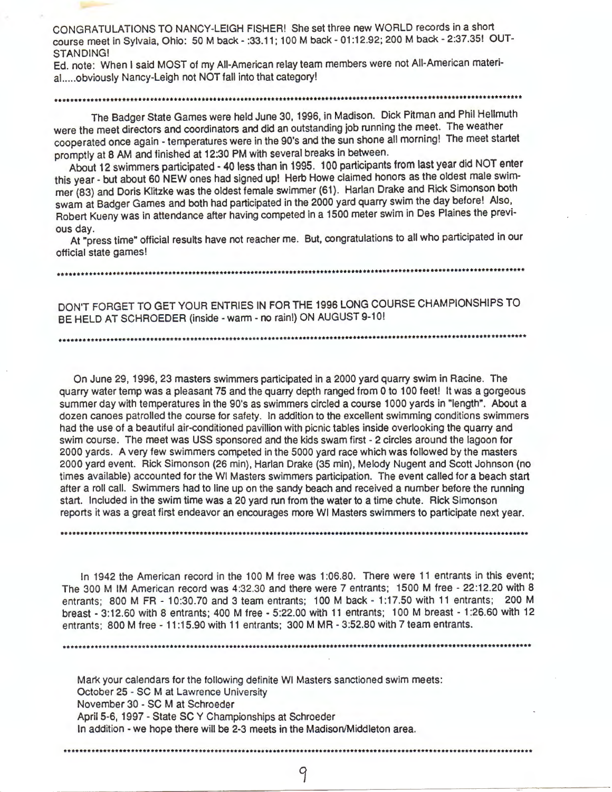CONGRATULATIONS TO NANCY-LEIGH FISHER! She set three new WORLD records in a short course meet in Sylvaia, Ohio: 50 M back - :33.11; 100 M back - 01 :12.92; 200 M back - 2:37.35! OUT-STANDING!

Ed. note: When I said MOST of my All-American relay team members were not All-American material.....obviously Nancy-Leigh not NOT fall into that category!

## 

The Badger State Games were held June 30, 1996, in Madison. Dick Pitman and Phil Hellmuth were the meet directors and coordinators and did an outstanding job running the meet. The weather cooperated once again - temperatures were in the 90's and the sun shone all morning! The meet startet promptly at 8 AM and finished at 12:30 PM with several breaks in between.

About 12 swimmers participated- 40 less than in 1995. 100 participants from last year did NOT enter this year - but about 60 NEW ones had signed up! Herb Howe claimed honors as the oldest male swimmer (83) and Doris Klitzke was the oldest female swimmer (61). Harlan Drake and Rick Simonson both swam at Badger Games and both had participated in the 2000 yard quarry swim the day before! Also, Robert Kueny was in attendance after having competed in a 1500 meter swim in Des Plaines the previous day.

**At** "press time" official results have not reacher me. But, congratulations to all who participated in our official state games!

DON'T FORGET TO GET YOUR ENTRIES IN FOR THE 1996 LONG COURSE CHAMPIONSHIPS TO BE HELD AT SCHROEDER (inside -warm - no rain!) ON AUGUST 9-10!

.................................................................................................•......•.......••.....

On June 29, 1996, 23 masters swimmers participated in a 2000 yard quarry swim in Racine. The quarry water temp was a pleasant 75 and the quarry depth ranged from O to 100 feet! It was a gorgeous summer day with temperatures in the 90's as swimmers circled a course 1000 yards in "length". About a dozen canoes patrolled the course for safety. In addition to the excellent swimming conditions swimmers had the use of a beautiful air-conditioned pavillion with picnic tables inside overlooking the quarry and swim course. The meet was USS sponsored and the kids swam first - 2 circles around the lagoon for 2000 yards. **A** very few swimmers competed in the 5000 yard race which was followed by the masters 2000 yard event. Rick Simonson (26 min), Harlan Drake (35 min), Melody Nugent and Scott Johnson (no times available) accounted for the WI Masters swimmers participation. The event called for a beach start after a roll call. Swimmers had to line up on the sandy beach and received a number before the running start. Included in the swim time was a 20 yard run from the water to a time chute. Rick Simonson reports it was a great first endeavor an encourages more WI Masters swimmers to participate next year .

In 1942 the American record in the 100 M free was 1 :06.80. There were 11 entrants in this event; The 300 M IM American record was 4:32.30 and there were 7 entrants; 1500 M free - 22:12.20 with 8 entrants; 800 M FR - 10:30.70 and 3 team entrants; 100 M back - 1:17.50 with 11 entrants; 200 M breast - 3:12.60 with 8 entrants; 400 M free - 5:22.00 with 11 entrants; 100 M breast - 1 :26.60 with 12 entrants; 800 M free - 11:15.90 with 11 entrants; 300 M MR - 3:52.80 with 7 team entrants.

.........................................................•....••....••.......•.•.•.................................••..

......•................................•...............................................................................

Mark your calendars for the following definite WI Masters sanctioned swim meets: October 25 - SC M at Lawrence University November 30 - SC M at Schroeder April 5-6, 1997 - State SC Y Championships at Schroeder In addition - we hope there will be 2-3 meets in the Madison/Middleton area .

•.••••.•.....••...................•....•.....••......••...............•••..••••••.......•.•..•••.....................••